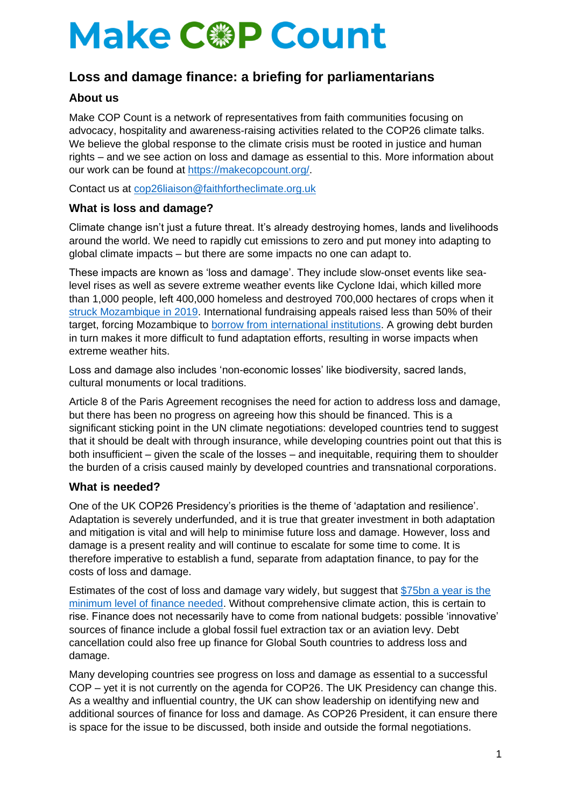# **Make C@P Count**

# **Loss and damage finance: a briefing for parliamentarians**

# **About us**

Make COP Count is a network of representatives from faith communities focusing on advocacy, hospitality and awareness-raising activities related to the COP26 climate talks. We believe the global response to the climate crisis must be rooted in justice and human rights – and we see action on loss and damage as essential to this. More information about our work can be found at [https://makecopcount.org/.](https://makecopcount.org/)

Contact us at [cop26liaison@faithfortheclimate.org.uk](mailto:cop26liaison@faithfortheclimate.org.uk)

# **What is loss and damage?**

Climate change isn't just a future threat. It's already destroying homes, lands and livelihoods around the world. We need to rapidly cut emissions to zero and put money into adapting to global climate impacts – but there are some impacts no one can adapt to.

These impacts are known as 'loss and damage'. They include slow-onset events like sealevel rises as well as severe extreme weather events like Cyclone Idai, which killed more than 1,000 people, left 400,000 homeless and destroyed 700,000 hectares of crops when it [struck Mozambique in 2019.](https://www.actionaid.org.uk/our-work/emergencies-disasters-humanitarian-response/cyclone-idai-in-southern-africa-2019) International fundraising appeals raised less than 50% of their target, forcing Mozambique to [borrow from international institutions.](https://www.climatechangenews.com/2019/04/26/mozambique-faces-climate-debt-trap-cyclone-kenneth-follows-idai/) A growing debt burden in turn makes it more difficult to fund adaptation efforts, resulting in worse impacts when extreme weather hits.

Loss and damage also includes 'non-economic losses' like biodiversity, sacred lands, cultural monuments or local traditions.

Article 8 of the Paris Agreement recognises the need for action to address loss and damage, but there has been no progress on agreeing how this should be financed. This is a significant sticking point in the UN climate negotiations: developed countries tend to suggest that it should be dealt with through insurance, while developing countries point out that this is both insufficient – given the scale of the losses – and inequitable, requiring them to shoulder the burden of a crisis caused mainly by developed countries and transnational corporations.

#### **What is needed?**

One of the UK COP26 Presidency's priorities is the theme of 'adaptation and resilience'. Adaptation is severely underfunded, and it is true that greater investment in both adaptation and mitigation is vital and will help to minimise future loss and damage. However, loss and damage is a present reality and will continue to escalate for some time to come. It is therefore imperative to establish a fund, separate from adaptation finance, to pay for the costs of loss and damage.

Estimates of the cost of loss and damage vary widely, but suggest that [\\$75bn a year is the](https://www.robinhoodtax.org.uk/sites/default/files/Unpacking%20Finance%20for%20Loss%20and%20Damage%20brief%201%20-%20Lessons%20from%20Covid.FINAL__0.pdf)  [minimum level of finance needed.](https://www.robinhoodtax.org.uk/sites/default/files/Unpacking%20Finance%20for%20Loss%20and%20Damage%20brief%201%20-%20Lessons%20from%20Covid.FINAL__0.pdf) Without comprehensive climate action, this is certain to rise. Finance does not necessarily have to come from national budgets: possible 'innovative' sources of finance include a global fossil fuel extraction tax or an aviation levy. Debt cancellation could also free up finance for Global South countries to address loss and damage.

Many developing countries see progress on loss and damage as essential to a successful COP – yet it is not currently on the agenda for COP26. The UK Presidency can change this. As a wealthy and influential country, the UK can show leadership on identifying new and additional sources of finance for loss and damage. As COP26 President, it can ensure there is space for the issue to be discussed, both inside and outside the formal negotiations.